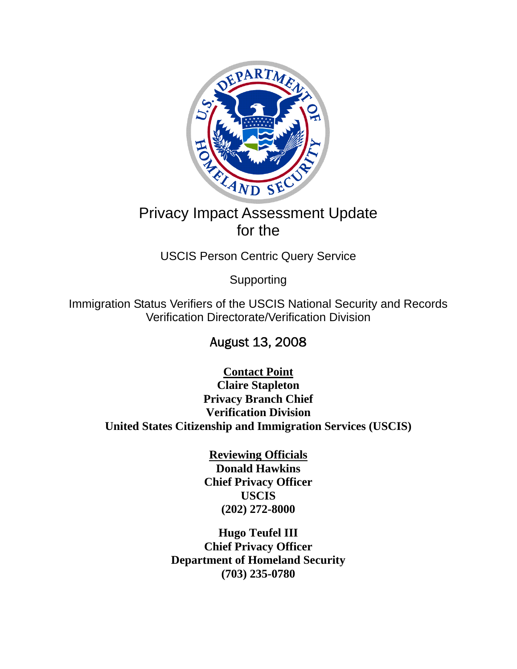

# Privacy Impact Assessment Update for the

USCIS Person Centric Query Service

Supporting

Immigration Status Verifiers of the USCIS National Security and Records Verification Directorate/Verification Division

August 13, 2008

**Contact Point Claire Stapleton Privacy Branch Chief Verification Division United States Citizenship and Immigration Services (USCIS)** 

> **Reviewing Officials Donald Hawkins Chief Privacy Officer USCIS (202) 272-8000**

**Hugo Teufel III Chief Privacy Officer Department of Homeland Security (703) 235-0780**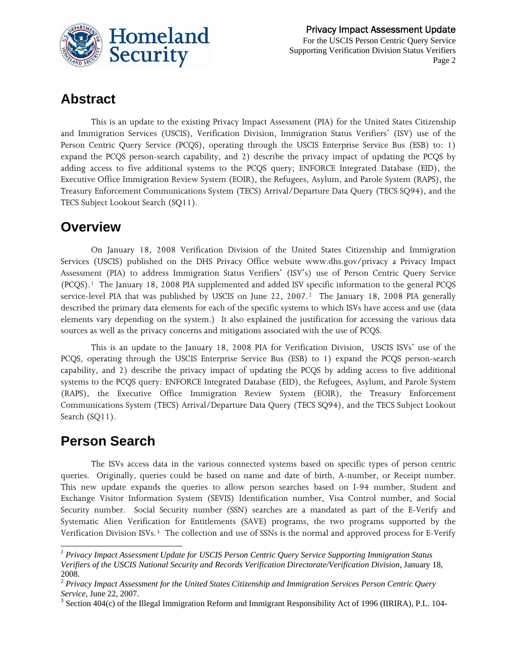

### **Abstract**

This is an update to the existing Privacy Impact Assessment (PIA) for the United States Citizenship and Immigration Services (USCIS), Verification Division, Immigration Status Verifiers' (ISV) use of the Person Centric Query Service (PCQS), operating through the USCIS Enterprise Service Bus (ESB) to: 1) expand the PCQS person-search capability, and 2) describe the privacy impact of updating the PCQS by adding access to five additional systems to the PCQS query; ENFORCE Integrated Database (EID), the Executive Office Immigration Review System (EOIR), the Refugees, Asylum, and Parole System (RAPS), the Treasury Enforcement Communications System (TECS) Arrival/Departure Data Query (TECS SQ94), and the TECS Subject Lookout Search (SQ11).

#### **Overview**

On January 18, 2008 Verification Division of the United States Citizenship and Immigration Services (USCIS) published on the DHS Privacy Office website [www.dhs.gov/privacy](http://www.dhs.gov/privacy) a Privacy Impact Assessment (PIA) to address Immigration Status Verifiers' (ISV's) use of Person Centric Query Service (PCQS).[1](#page-1-0) The January 18, 2008 PIA supplemented and added ISV specific information to the general PCQS service-level PIA that was published by USCIS on June [2](#page-1-1)2, 2007.<sup>2</sup> The January 18, 2008 PIA generally described the primary data elements for each of the specific systems to which ISVs have access and use (data elements vary depending on the system.) It also explained the justification for accessing the various data sources as well as the privacy concerns and mitigations associated with the use of PCQS.

This is an update to the January 18, 2008 PIA for Verification Division, USCIS ISVs' use of the PCQS, operating through the USCIS Enterprise Service Bus (ESB) to 1) expand the PCQS person-search capability, and 2) describe the privacy impact of updating the PCQS by adding access to five additional systems to the PCQS query: ENFORCE Integrated Database (EID), the Refugees, Asylum, and Parole System (RAPS), the Executive Office Immigration Review System (EOIR), the Treasury Enforcement Communications System (TECS) Arrival/Departure Data Query (TECS SQ94), and the TECS Subject Lookout Search (SQ11).

### **Person Search**

l

The ISVs access data in the various connected systems based on specific types of person centric queries. Originally, queries could be based on name and date of birth, A-number, or Receipt number. This new update expands the queries to allow person searches based on I-94 number, Student and Exchange Visitor Information System (SEVIS) Identification number, Visa Control number, and Social Security number. Social Security number (SSN) searches are a mandated as part of the E-Verify and Systematic Alien Verification for Entitlements (SAVE) programs, the two programs supported by the Verification Division ISVs.[3](#page-1-2) The collection and use of SSNs is the normal and approved process for E-Verify

<span id="page-1-0"></span><sup>&</sup>lt;sup>1</sup> Privacy Impact Assessment Update for USCIS Person Centric Query Service Supporting Immigration Status *Verifiers of the USCIS National Security and Records Verification Directorate/Verification Division*, January 18, 2008.

<span id="page-1-1"></span><sup>2</sup> *Privacy Impact Assessment for the United States Citizenship and Immigration Services Person Centric Query Service*, June 22, 2007.

<span id="page-1-2"></span> $3$  Section 404(c) of the Illegal Immigration Reform and Immigrant Responsibility Act of 1996 (IIRIRA), P.L. 104-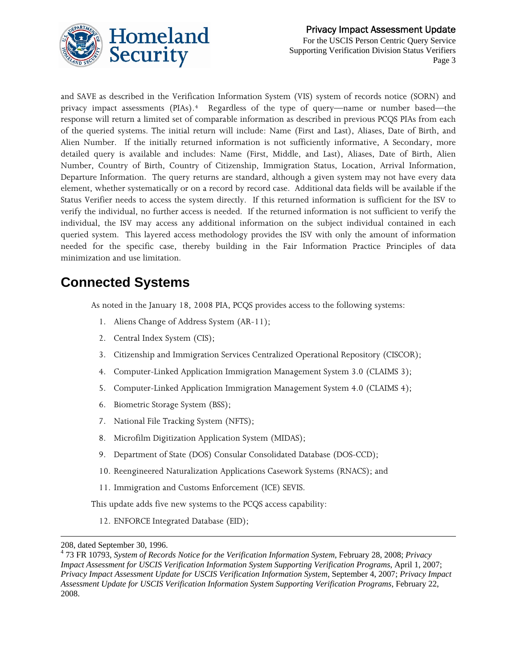

and SAVE as described in the Verification Information System (VIS) system of records notice (SORN) and privacy impact assessments (PIAs).[4](#page-2-0) Regardless of the type of query—name or number based—the response will return a limited set of comparable information as described in previous PCQS PIAs from each of the queried systems. The initial return will include: Name (First and Last), Aliases, Date of Birth, and Alien Number. If the initially returned information is not sufficiently informative, A Secondary, more detailed query is available and includes: Name (First, Middle, and Last), Aliases, Date of Birth, Alien Number, Country of Birth, Country of Citizenship, Immigration Status, Location, Arrival Information, Departure Information. The query returns are standard, although a given system may not have every data element, whether systematically or on a record by record case. Additional data fields will be available if the Status Verifier needs to access the system directly. If this returned information is sufficient for the ISV to verify the individual, no further access is needed. If the returned information is not sufficient to verify the individual, the ISV may access any additional information on the subject individual contained in each queried system. This layered access methodology provides the ISV with only the amount of information needed for the specific case, thereby building in the Fair Information Practice Principles of data minimization and use limitation.

## **Connected Systems**

As noted in the January 18, 2008 PIA, PCQS provides access to the following systems:

- 1. Aliens Change of Address System (AR-11);
- 2. Central Index System (CIS);
- 3. Citizenship and Immigration Services Centralized Operational Repository (CISCOR);
- 4. Computer-Linked Application Immigration Management System 3.0 (CLAIMS 3);
- 5. Computer-Linked Application Immigration Management System 4.0 (CLAIMS 4);
- 6. Biometric Storage System (BSS);
- 7. National File Tracking System (NFTS);
- 8. Microfilm Digitization Application System (MIDAS);
- 9. Department of State (DOS) Consular Consolidated Database (DOS-CCD);
- 10. Reengineered Naturalization Applications Casework Systems (RNACS); and
- 11. Immigration and Customs Enforcement (ICE) SEVIS.

This update adds five new systems to the PCQS access capability:

12. ENFORCE Integrated Database (EID);

 $\overline{a}$ 

<sup>208,</sup> dated September 30, 1996.

<span id="page-2-0"></span><sup>4</sup> 73 FR 10793, *System of Records Notice for the Verification Information System*, February 28, 2008; *Privacy Impact Assessment for USCIS Verification Information System Supporting Verification Programs*, April 1, 2007; *Privacy Impact Assessment Update for USCIS Verification Information System*, September 4, 2007; *Privacy Impact Assessment Update for USCIS Verification Information System Supporting Verification Programs*, February 22, 2008.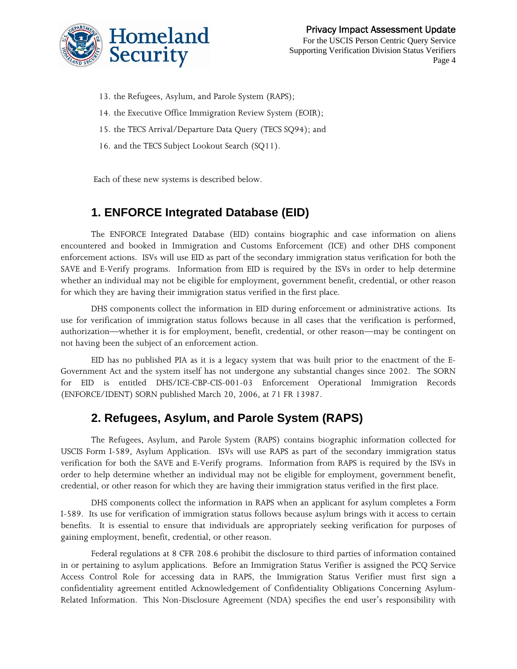

For the USCIS Person Centric Query Service Supporting Verification Division Status Verifiers Page 4

- 13. the Refugees, Asylum, and Parole System (RAPS);
- 14. the Executive Office Immigration Review System (EOIR);
- 15. the TECS Arrival/Departure Data Query (TECS SQ94); and
- 16. and the TECS Subject Lookout Search (SQ11).

Each of these new systems is described below.

#### **1. ENFORCE Integrated Database (EID)**

The ENFORCE Integrated Database (EID) contains biographic and case information on aliens encountered and booked in Immigration and Customs Enforcement (ICE) and other DHS component enforcement actions. ISVs will use EID as part of the secondary immigration status verification for both the SAVE and E-Verify programs. Information from EID is required by the ISVs in order to help determine whether an individual may not be eligible for employment, government benefit, credential, or other reason for which they are having their immigration status verified in the first place.

DHS components collect the information in EID during enforcement or administrative actions. Its use for verification of immigration status follows because in all cases that the verification is performed, authorization—whether it is for employment, benefit, credential, or other reason—may be contingent on not having been the subject of an enforcement action.

EID has no published PIA as it is a legacy system that was built prior to the enactment of the E-Government Act and the system itself has not undergone any substantial changes since 2002. The SORN for EID is entitled DHS/ICE-CBP-CIS-001-03 Enforcement Operational Immigration Records (ENFORCE/IDENT) SORN published March 20, 2006, at 71 FR 13987.

#### **2. Refugees, Asylum, and Parole System (RAPS)**

The Refugees, Asylum, and Parole System (RAPS) contains biographic information collected for USCIS Form I-589, Asylum Application. ISVs will use RAPS as part of the secondary immigration status verification for both the SAVE and E-Verify programs. Information from RAPS is required by the ISVs in order to help determine whether an individual may not be eligible for employment, government benefit, credential, or other reason for which they are having their immigration status verified in the first place.

DHS components collect the information in RAPS when an applicant for asylum completes a Form I-589. Its use for verification of immigration status follows because asylum brings with it access to certain benefits. It is essential to ensure that individuals are appropriately seeking verification for purposes of gaining employment, benefit, credential, or other reason.

Federal regulations at 8 CFR 208.6 prohibit the disclosure to third parties of information contained in or pertaining to asylum applications. Before an Immigration Status Verifier is assigned the PCQ Service Access Control Role for accessing data in RAPS, the Immigration Status Verifier must first sign a confidentiality agreement entitled Acknowledgement of Confidentiality Obligations Concerning Asylum-Related Information. This Non-Disclosure Agreement (NDA) specifies the end user's responsibility with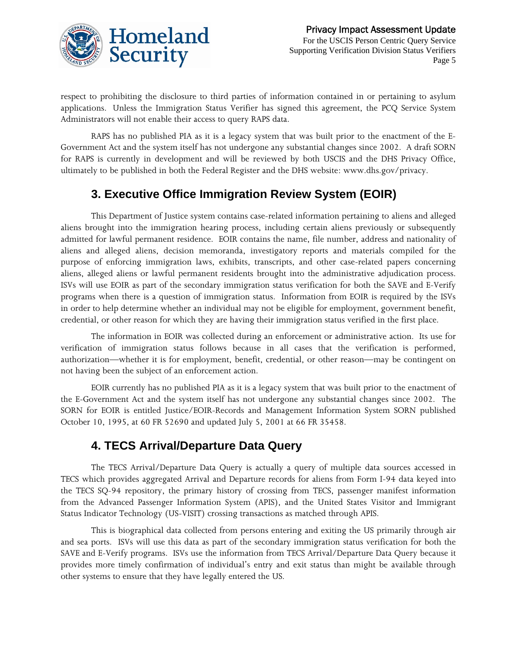

respect to prohibiting the disclosure to third parties of information contained in or pertaining to asylum applications. Unless the Immigration Status Verifier has signed this agreement, the PCQ Service System Administrators will not enable their access to query RAPS data.

RAPS has no published PIA as it is a legacy system that was built prior to the enactment of the E-Government Act and the system itself has not undergone any substantial changes since 2002. A draft SORN for RAPS is currently in development and will be reviewed by both USCIS and the DHS Privacy Office, ultimately to be published in both the Federal Register and the DHS website: www.dhs.gov/privacy.

### **3. Executive Office Immigration Review System (EOIR)**

This Department of Justice system contains case-related information pertaining to aliens and alleged aliens brought into the immigration hearing process, including certain aliens previously or subsequently admitted for lawful permanent residence. EOIR contains the name, file number, address and nationality of aliens and alleged aliens, decision memoranda, investigatory reports and materials compiled for the purpose of enforcing immigration laws, exhibits, transcripts, and other case-related papers concerning aliens, alleged aliens or lawful permanent residents brought into the administrative adjudication process. ISVs will use EOIR as part of the secondary immigration status verification for both the SAVE and E-Verify programs when there is a question of immigration status. Information from EOIR is required by the ISVs in order to help determine whether an individual may not be eligible for employment, government benefit, credential, or other reason for which they are having their immigration status verified in the first place.

The information in EOIR was collected during an enforcement or administrative action. Its use for verification of immigration status follows because in all cases that the verification is performed, authorization—whether it is for employment, benefit, credential, or other reason—may be contingent on not having been the subject of an enforcement action.

EOIR currently has no published PIA as it is a legacy system that was built prior to the enactment of the E-Government Act and the system itself has not undergone any substantial changes since 2002. The SORN for EOIR is entitled Justice/EOIR-Records and Management Information System SORN published October 10, 1995, at 60 FR 52690 and updated July 5, 2001 at 66 FR 35458.

#### **4. TECS Arrival/Departure Data Query**

The TECS Arrival/Departure Data Query is actually a query of multiple data sources accessed in TECS which provides aggregated Arrival and Departure records for aliens from Form I-94 data keyed into the TECS SQ-94 repository, the primary history of crossing from TECS, passenger manifest information from the Advanced Passenger Information System (APIS), and the United States Visitor and Immigrant Status Indicator Technology (US-VISIT) crossing transactions as matched through APIS.

This is biographical data collected from persons entering and exiting the US primarily through air and sea ports. ISVs will use this data as part of the secondary immigration status verification for both the SAVE and E-Verify programs. ISVs use the information from TECS Arrival/Departure Data Query because it provides more timely confirmation of individual's entry and exit status than might be available through other systems to ensure that they have legally entered the US.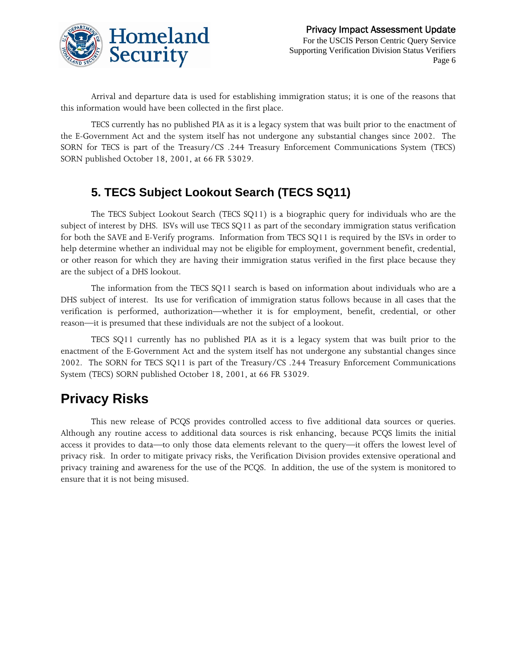

Arrival and departure data is used for establishing immigration status; it is one of the reasons that this information would have been collected in the first place.

TECS currently has no published PIA as it is a legacy system that was built prior to the enactment of the E-Government Act and the system itself has not undergone any substantial changes since 2002. The SORN for TECS is part of the Treasury/CS .244 Treasury Enforcement Communications System (TECS) SORN published October 18, 2001, at 66 FR 53029.

### **5. TECS Subject Lookout Search (TECS SQ11)**

The TECS Subject Lookout Search (TECS SQ11) is a biographic query for individuals who are the subject of interest by DHS. ISVs will use TECS SQ11 as part of the secondary immigration status verification for both the SAVE and E-Verify programs. Information from TECS SQ11 is required by the ISVs in order to help determine whether an individual may not be eligible for employment, government benefit, credential, or other reason for which they are having their immigration status verified in the first place because they are the subject of a DHS lookout.

The information from the TECS SQ11 search is based on information about individuals who are a DHS subject of interest. Its use for verification of immigration status follows because in all cases that the verification is performed, authorization—whether it is for employment, benefit, credential, or other reason—it is presumed that these individuals are not the subject of a lookout.

TECS SQ11 currently has no published PIA as it is a legacy system that was built prior to the enactment of the E-Government Act and the system itself has not undergone any substantial changes since 2002. The SORN for TECS SQ11 is part of the Treasury/CS .244 Treasury Enforcement Communications System (TECS) SORN published October 18, 2001, at 66 FR 53029.

## **Privacy Risks**

This new release of PCQS provides controlled access to five additional data sources or queries. Although any routine access to additional data sources is risk enhancing, because PCQS limits the initial access it provides to data—to only those data elements relevant to the query—it offers the lowest level of privacy risk. In order to mitigate privacy risks, the Verification Division provides extensive operational and privacy training and awareness for the use of the PCQS. In addition, the use of the system is monitored to ensure that it is not being misused.